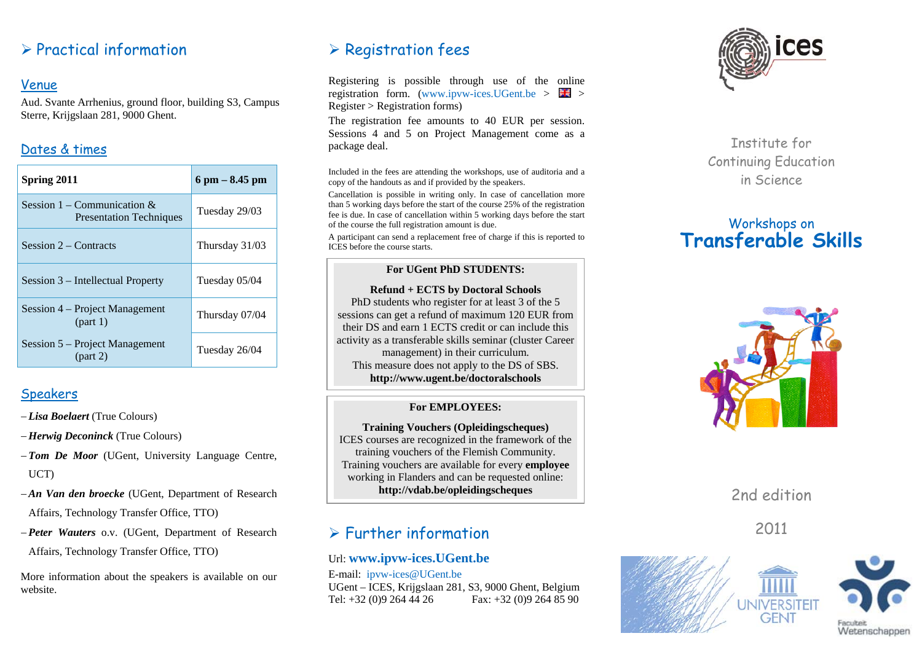## $\triangleright$  Practical information

### Venue

Aud. Svante Arrhenius, ground floor, building S3, Campus Sterre, Krijgslaan 281, 9000 Ghent.

## Dates & times

| Spring 2011                                                      | $6 \text{ pm} - 8.45 \text{ pm}$ |
|------------------------------------------------------------------|----------------------------------|
| Session 1 – Communication $\&$<br><b>Presentation Techniques</b> | Tuesday 29/03                    |
| Session $2$ – Contracts                                          | Thursday 31/03                   |
| Session 3 – Intellectual Property                                | Tuesday 05/04                    |
| Session 4 – Project Management<br>(part 1)                       | Thursday 07/04                   |
| Session 5 – Project Management<br>(part 2)                       | Tuesday 26/04                    |

### Speakers

- − *Lisa Boelaert* (True Colours)
- − *Herwig Deconinck* (True Colours)
- − *Tom De Moor* (UGent, University Language Centre, UCT)
- −*An Van den broecke* (UGent, Department of Research Affairs, Technology Transfer Office, TTO)
- − *Peter Wauters* o.v. (UGent, Department of Research Affairs, Technology Transfer Office, TTO)

More information about the speakers is available on our website.

# $\triangleright$  Registration fees

Registering is possible through use of the online registration form. (www.ipvw-ices.UGent.be  $> 1$ Register > Registration forms)

The registration fee amounts to 40 EUR per session. Sessions 4 and 5 on Project Management come as a package deal.

Included in the fees are attending the workshops, use of auditoria and a copy of the handouts as and if provided by the speakers.

Cancellation is possible in writing only. In case of cancellation more than 5 working days before the start of the course 25% of the registration fee is due. In case of cancellation within 5 working days before the start of the course the full registration amount is due.

A participant can send a replacement free of charge if this is reported to ICES before the course starts.

#### **For UGent PhD STUDENTS:**

#### **Refund + ECTS by Doctoral Schools**

PhD students who register for at least 3 of the 5 sessions can get a refund of maximum 120 EUR from their DS and earn 1 ECTS credit or can include this activity as a transferable skills seminar (cluster Career management) in their curriculum. This measure does not apply to the DS of SBS. **http://www.ugent.be/doctoralschools** 

#### **For EMPLOYEES:**

**Training Vouchers (Opleidingscheques)**  ICES courses are recognized in the framework of the training vouchers of the Flemish Community. Training vouchers are available for every **employee** working in Flanders and can be requested online: **http://vdab.be/opleidingscheques** 

# $\triangleright$  Further information

### Url: **www.ipvw-ices.UGent.be**

E-mail: ipvw-ices@UGent.be UGent – ICES, Krijgslaan 281, S3, 9000 Ghent, Belgium Tel: +32 (0)9 264 44 26 Fax: +32 (0)9 264 85 90



Institute for Continuing Education in Science

# Workshops on **Transferable Skills**



2nd edition

2011